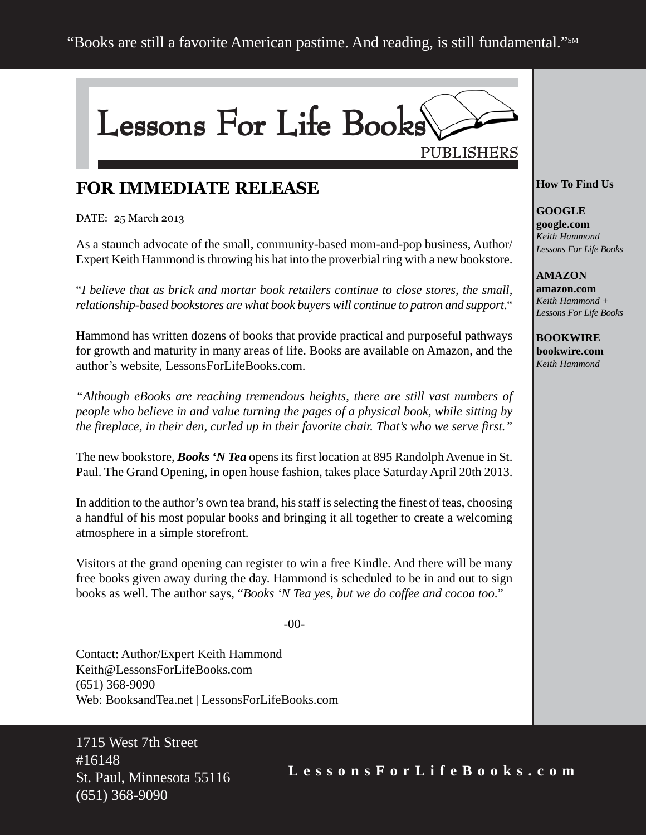

## **FOR IMMEDIATE RELEASE**

DATE: 25 March 2013

As a staunch advocate of the small, community-based mom-and-pop business, Author/ Expert Keith Hammond is throwing his hat into the proverbial ring with a new bookstore.

"*I believe that as brick and mortar book retailers continue to close stores, the small, relationship-based bookstores are what book buyers will continue to patron and support*."

Hammond has written dozens of books that provide practical and purposeful pathways for growth and maturity in many areas of life. Books are available on Amazon, and the author's website, LessonsForLifeBooks.com.

*"Although eBooks are reaching tremendous heights, there are still vast numbers of people who believe in and value turning the pages of a physical book, while sitting by the fireplace, in their den, curled up in their favorite chair. That's who we serve first."*

The new bookstore, *Books 'N Tea* opens its first location at 895 Randolph Avenue in St. Paul. The Grand Opening, in open house fashion, takes place Saturday April 20th 2013.

In addition to the author's own tea brand, his staff is selecting the finest of teas, choosing a handful of his most popular books and bringing it all together to create a welcoming atmosphere in a simple storefront.

Visitors at the grand opening can register to win a free Kindle. And there will be many free books given away during the day. Hammond is scheduled to be in and out to sign books as well. The author says, "*Books 'N Tea yes, but we do coffee and cocoa too*."

-00-

Contact: Author/Expert Keith Hammond Keith@LessonsForLifeBooks.com (651) 368-9090 Web: BooksandTea.net | LessonsForLifeBooks.com

1715 West 7th Street #16148 St. Paul, Minnesota 55116 (651) 368-9090

#### **How To Find Us**

**GOOGLE google.com** *Keith Hammond Lessons For Life Books*

#### **AMAZON**

**amazon.com** *Keith Hammond + Lessons For Life Books*

**BOOKWIRE bookwire.com** *Keith Hammond*